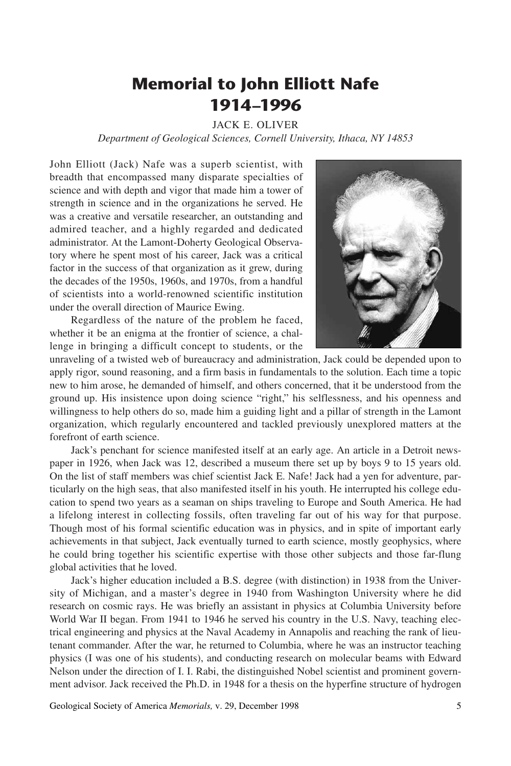## **Memorial to John Elliott Nafe 1914–1996**

## JACK E. OLIVER

*Department of Geological Sciences, Cornell University, Ithaca, NY 14853*

John Elliott (Jack) Nafe was a superb scientist, with breadth that encompassed many disparate specialties of science and with depth and vigor that made him a tower of strength in science and in the organizations he served. He was a creative and versatile researcher, an outstanding and admired teacher, and a highly regarded and dedicated administrator. At the Lamont-Doherty Geological Observatory where he spent most of his career, Jack was a critical factor in the success of that organization as it grew, during the decades of the 1950s, 1960s, and 1970s, from a handful of scientists into a world-renowned scientific institution under the overall direction of Maurice Ewing.

Regardless of the nature of the problem he faced, whether it be an enigma at the frontier of science, a challenge in bringing a difficult concept to students, or the



unraveling of a twisted web of bureaucracy and administration, Jack could be depended upon to apply rigor, sound reasoning, and a firm basis in fundamentals to the solution. Each time a topic new to him arose, he demanded of himself, and others concerned, that it be understood from the ground up. His insistence upon doing science "right," his selflessness, and his openness and willingness to help others do so, made him a guiding light and a pillar of strength in the Lamont organization, which regularly encountered and tackled previously unexplored matters at the forefront of earth science.

Jack's penchant for science manifested itself at an early age. An article in a Detroit newspaper in 1926, when Jack was 12, described a museum there set up by boys 9 to 15 years old. On the list of staff members was chief scientist Jack E. Nafe! Jack had a yen for adventure, particularly on the high seas, that also manifested itself in his youth. He interrupted his college education to spend two years as a seaman on ships traveling to Europe and South America. He had a lifelong interest in collecting fossils, often traveling far out of his way for that purpose. Though most of his formal scientific education was in physics, and in spite of important early achievements in that subject, Jack eventually turned to earth science, mostly geophysics, where he could bring together his scientific expertise with those other subjects and those far-flung global activities that he loved.

Jack's higher education included a B.S. degree (with distinction) in 1938 from the University of Michigan, and a master's degree in 1940 from Washington University where he did research on cosmic rays. He was briefly an assistant in physics at Columbia University before World War II began. From 1941 to 1946 he served his country in the U.S. Navy, teaching electrical engineering and physics at the Naval Academy in Annapolis and reaching the rank of lieutenant commander. After the war, he returned to Columbia, where he was an instructor teaching physics (I was one of his students), and conducting research on molecular beams with Edward Nelson under the direction of I. I. Rabi, the distinguished Nobel scientist and prominent government advisor. Jack received the Ph.D. in 1948 for a thesis on the hyperfine structure of hydrogen

Geological Society of America *Memorials,* v. 29, December 1998 5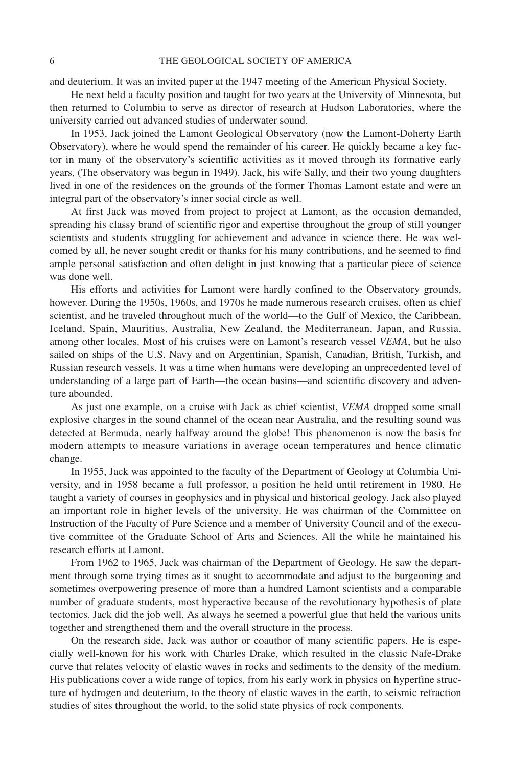and deuterium. It was an invited paper at the 1947 meeting of the American Physical Society.

He next held a faculty position and taught for two years at the University of Minnesota, but then returned to Columbia to serve as director of research at Hudson Laboratories, where the university carried out advanced studies of underwater sound.

In 1953, Jack joined the Lamont Geological Observatory (now the Lamont-Doherty Earth Observatory), where he would spend the remainder of his career. He quickly became a key factor in many of the observatory's scientific activities as it moved through its formative early years, (The observatory was begun in 1949). Jack, his wife Sally, and their two young daughters lived in one of the residences on the grounds of the former Thomas Lamont estate and were an integral part of the observatory's inner social circle as well.

At first Jack was moved from project to project at Lamont, as the occasion demanded, spreading his classy brand of scientific rigor and expertise throughout the group of still younger scientists and students struggling for achievement and advance in science there. He was welcomed by all, he never sought credit or thanks for his many contributions, and he seemed to find ample personal satisfaction and often delight in just knowing that a particular piece of science was done well.

His efforts and activities for Lamont were hardly confined to the Observatory grounds, however. During the 1950s, 1960s, and 1970s he made numerous research cruises, often as chief scientist, and he traveled throughout much of the world—to the Gulf of Mexico, the Caribbean, Iceland, Spain, Mauritius, Australia, New Zealand, the Mediterranean, Japan, and Russia, among other locales. Most of his cruises were on Lamont's research vessel *VEMA*, but he also sailed on ships of the U.S. Navy and on Argentinian, Spanish, Canadian, British, Turkish, and Russian research vessels. It was a time when humans were developing an unprecedented level of understanding of a large part of Earth—the ocean basins—and scientific discovery and adventure abounded.

As just one example, on a cruise with Jack as chief scientist, *VEMA* dropped some small explosive charges in the sound channel of the ocean near Australia, and the resulting sound was detected at Bermuda, nearly halfway around the globe! This phenomenon is now the basis for modern attempts to measure variations in average ocean temperatures and hence climatic change.

In 1955, Jack was appointed to the faculty of the Department of Geology at Columbia University, and in 1958 became a full professor, a position he held until retirement in 1980. He taught a variety of courses in geophysics and in physical and historical geology. Jack also played an important role in higher levels of the university. He was chairman of the Committee on Instruction of the Faculty of Pure Science and a member of University Council and of the executive committee of the Graduate School of Arts and Sciences. All the while he maintained his research efforts at Lamont.

From 1962 to 1965, Jack was chairman of the Department of Geology. He saw the department through some trying times as it sought to accommodate and adjust to the burgeoning and sometimes overpowering presence of more than a hundred Lamont scientists and a comparable number of graduate students, most hyperactive because of the revolutionary hypothesis of plate tectonics. Jack did the job well. As always he seemed a powerful glue that held the various units together and strengthened them and the overall structure in the process.

On the research side, Jack was author or coauthor of many scientific papers. He is especially well-known for his work with Charles Drake, which resulted in the classic Nafe-Drake curve that relates velocity of elastic waves in rocks and sediments to the density of the medium. His publications cover a wide range of topics, from his early work in physics on hyperfine structure of hydrogen and deuterium, to the theory of elastic waves in the earth, to seismic refraction studies of sites throughout the world, to the solid state physics of rock components.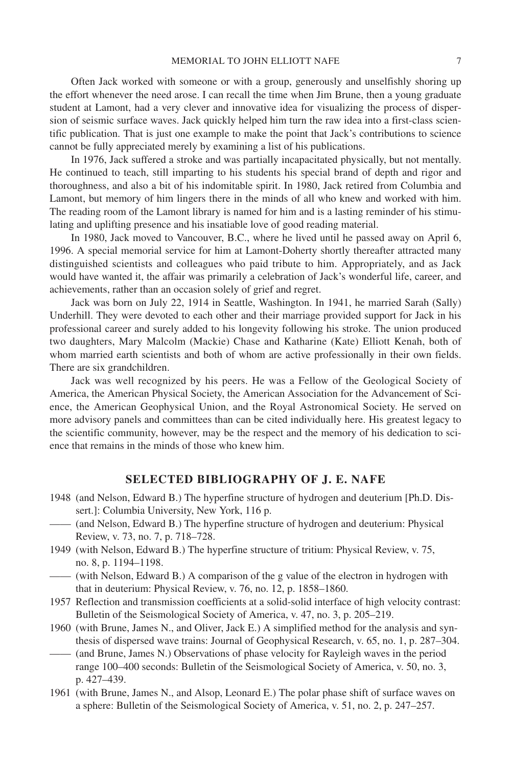Often Jack worked with someone or with a group, generously and unselfishly shoring up the effort whenever the need arose. I can recall the time when Jim Brune, then a young graduate student at Lamont, had a very clever and innovative idea for visualizing the process of dispersion of seismic surface waves. Jack quickly helped him turn the raw idea into a first-class scientific publication. That is just one example to make the point that Jack's contributions to science cannot be fully appreciated merely by examining a list of his publications.

In 1976, Jack suffered a stroke and was partially incapacitated physically, but not mentally. He continued to teach, still imparting to his students his special brand of depth and rigor and thoroughness, and also a bit of his indomitable spirit. In 1980, Jack retired from Columbia and Lamont, but memory of him lingers there in the minds of all who knew and worked with him. The reading room of the Lamont library is named for him and is a lasting reminder of his stimulating and uplifting presence and his insatiable love of good reading material.

In 1980, Jack moved to Vancouver, B.C., where he lived until he passed away on April 6, 1996. A special memorial service for him at Lamont-Doherty shortly thereafter attracted many distinguished scientists and colleagues who paid tribute to him. Appropriately, and as Jack would have wanted it, the affair was primarily a celebration of Jack's wonderful life, career, and achievements, rather than an occasion solely of grief and regret.

Jack was born on July 22, 1914 in Seattle, Washington. In 1941, he married Sarah (Sally) Underhill. They were devoted to each other and their marriage provided support for Jack in his professional career and surely added to his longevity following his stroke. The union produced two daughters, Mary Malcolm (Mackie) Chase and Katharine (Kate) Elliott Kenah, both of whom married earth scientists and both of whom are active professionally in their own fields. There are six grandchildren.

Jack was well recognized by his peers. He was a Fellow of the Geological Society of America, the American Physical Society, the American Association for the Advancement of Science, the American Geophysical Union, and the Royal Astronomical Society. He served on more advisory panels and committees than can be cited individually here. His greatest legacy to the scientific community, however, may be the respect and the memory of his dedication to science that remains in the minds of those who knew him.

## **SELECTED BIBLIOGRAPHY OF J. E. NAFE**

- 1948 (and Nelson, Edward B.) The hyperfine structure of hydrogen and deuterium [Ph.D. Dissert.]: Columbia University, New York, 116 p.
- —— (and Nelson, Edward B.) The hyperfine structure of hydrogen and deuterium: Physical Review, v. 73, no. 7, p. 718–728.
- 1949 (with Nelson, Edward B.) The hyperfine structure of tritium: Physical Review, v. 75, no. 8, p. 1194–1198.
- —— (with Nelson, Edward B.) A comparison of the g value of the electron in hydrogen with that in deuterium: Physical Review, v. 76, no. 12, p. 1858–1860.
- 1957 Reflection and transmission coefficients at a solid-solid interface of high velocity contrast: Bulletin of the Seismological Society of America, v. 47, no. 3, p. 205–219.
- 1960 (with Brune, James N., and Oliver, Jack E.) A simplified method for the analysis and synthesis of dispersed wave trains: Journal of Geophysical Research, v. 65, no. 1, p. 287–304. —— (and Brune, James N.) Observations of phase velocity for Rayleigh waves in the period
- range 100–400 seconds: Bulletin of the Seismological Society of America, v. 50, no. 3, p. 427–439.
- 1961 (with Brune, James N., and Alsop, Leonard E.) The polar phase shift of surface waves on a sphere: Bulletin of the Seismological Society of America, v. 51, no. 2, p. 247–257.